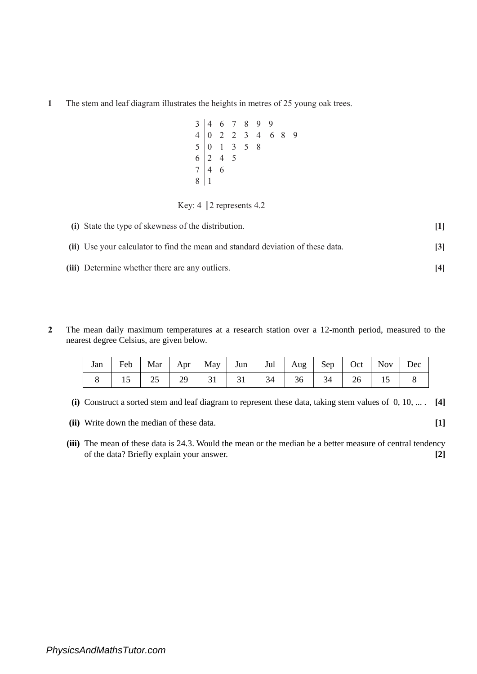The stem and leaf diagram illustrates the heights in metres of 25 young oak trees.

|  |                                                                              |  | $\begin{array}{c cccccc} 3 & 4 & 6 & 7 & 8 & 9 & 9 \\ 4 & 0 & 2 & 2 & 3 & 4 & 6 & 8 & 9 \\ 5 & 0 & 1 & 3 & 5 & 8 & & & \end{array}$ |  |
|--|------------------------------------------------------------------------------|--|-------------------------------------------------------------------------------------------------------------------------------------|--|
|  | $\begin{array}{c cc}\n6 & 2 & 4 & 5 \\ 7 & 4 & 6 \\ 8 & 1 & & \n\end{array}$ |  |                                                                                                                                     |  |
|  |                                                                              |  |                                                                                                                                     |  |
|  |                                                                              |  |                                                                                                                                     |  |

## Key:  $4 \mid 2$  represents 4.2

| (i) State the type of skewness of the distribution.                             |  |
|---------------------------------------------------------------------------------|--|
| (ii) Use your calculator to find the mean and standard deviation of these data. |  |
| (iii) Determine whether there are any outliers.                                 |  |

 The mean daily maximum temperatures at a research station over a 12-month period, measured to the nearest degree Celsius, are given below.

| Jan   Feb   Mar   Apr   May   Jun   Jul   Aug   Sep   Oct   Nov   Dec |  |  |  |  |  |  |
|-----------------------------------------------------------------------|--|--|--|--|--|--|
|                                                                       |  |  |  |  |  |  |

- **(i)** Construct a sorted stem and leaf diagram to represent these data, taking stem values of 0, 10, ... . **[4]**
- **(ii)** Write down the median of these data. **[1]**
- **(iii)** The mean of these data is 24.3. Would the mean or the median be a better measure of central tendency of the data? Briefly explain your answer. **[2]**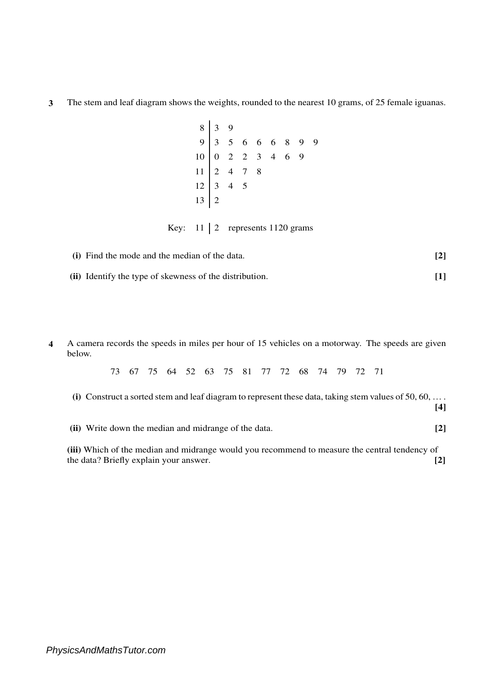**3** The stem and leaf diagram shows the weights, rounded to the nearest 10 grams, of 25 female iguanas.

8 3 9  $9 \mid 3 \mid 5 \mid 6 \mid 6 \mid 8 \mid 9 \mid 9$  $10 \ 0 \ 2 \ 2 \ 3 \ 4 \ 6 \ 9$  $11 \t2 \t4 \t7 \t8$  $12 \mid 3 \mid 4 \mid 5$  $13 \mid 2$ 

Key:  $11 \mid 2$  represents 1120 grams

| (i) Find the mode and the median of the data. |  |
|-----------------------------------------------|--|
|                                               |  |

**(ii)** Identify the type of skewness of the distribution. **[1]**

**4** A camera records the speeds in miles per hour of 15 vehicles on a motorway. The speeds are given below.

73 67 75 64 52 63 75 81 77 72 68 74 79 72 71 **(i)** Construct a sorted stem and leaf diagram to represent these data, taking stem values of 50, 60, … . **[4] (ii)** Write down the median and midrange of the data. **[2] (iii)** Which of the median and midrange would you recommend to measure the central tendency of

the data? Briefly explain your answer. **[2]**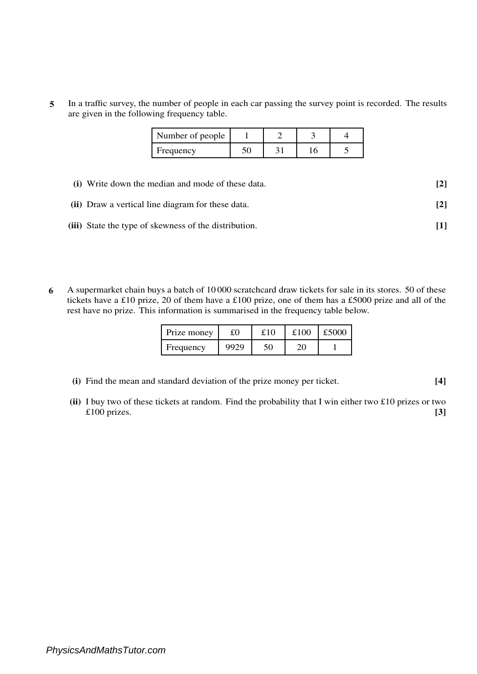**5** In a traffic survey, the number of people in each car passing the survey point is recorded. The results are given in the following frequency table.

| Number of people |  |  |
|------------------|--|--|
| Frequency        |  |  |

| (i) Write down the median and mode of these data.     | $\lceil 2 \rceil$ |
|-------------------------------------------------------|-------------------|
| (ii) Draw a vertical line diagram for these data.     | $\lceil 2 \rceil$ |
| (iii) State the type of skewness of the distribution. |                   |

**6** A supermarket chain buys a batch of 10 000 scratchcard draw tickets for sale in its stores. 50 of these tickets have a £10 prize, 20 of them have a £100 prize, one of them has a £5000 prize and all of the rest have no prize. This information is summarised in the frequency table below.

| Prize money |      | £10 | £100 | £5000 |
|-------------|------|-----|------|-------|
| Frequency   | 9929 |     |      |       |

- **(i)** Find the mean and standard deviation of the prize money per ticket. **[4]**
- **(ii)** I buy two of these tickets at random. Find the probability that I win either two £10 prizes or two £100 prizes. **[3]**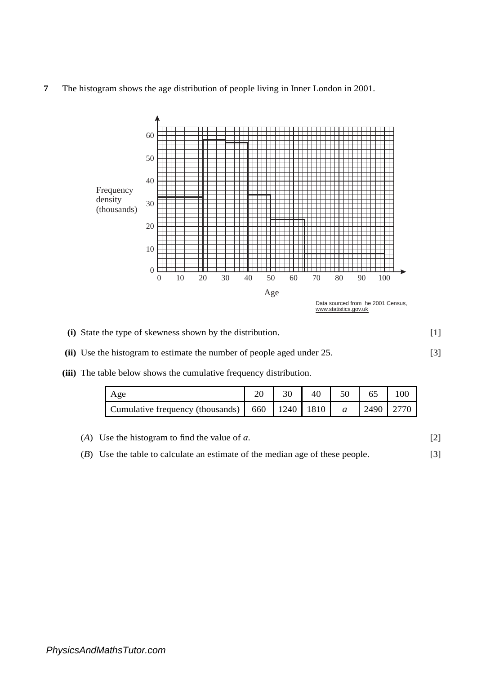**7** The histogram shows the age distribution of people living in Inner London in 2001.



- [1] **(i)** State the type of skewness shown by the distribution.
- [3] **(ii)** Use the histogram to estimate the number of people aged under 25.
- **(iii)** The table below shows the cumulative frequency distribution.

| Age                                                                    |  | 40 |             |  |
|------------------------------------------------------------------------|--|----|-------------|--|
| Cumulative frequency (thousands) $\vert$ 660 $\vert$ 1240 $\vert$ 1810 |  |    | 2490   2770 |  |

| $(A)$ Use the histogram to find the value of a.                               |  |
|-------------------------------------------------------------------------------|--|
| (B) Use the table to calculate an estimate of the median age of these people. |  |